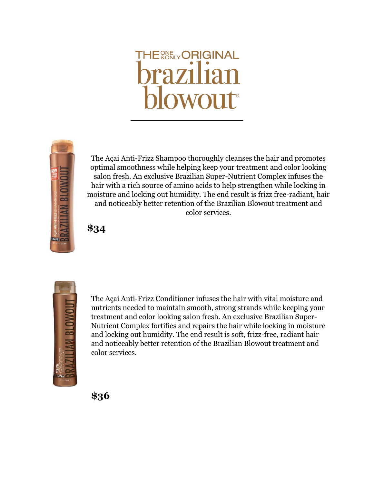## **THE WELY ORIGINAL brazilian**



The Açai Anti-Frizz Shampoo thoroughly cleanses the hair and promotes optimal smoothness while helping keep your treatment and color looking salon fresh. An exclusive Brazilian Super-Nutrient Complex infuses the hair with a rich source of amino acids to help strengthen while locking in moisture and locking out humidity. The end result is frizz free-radiant, hair and noticeably better retention of the Brazilian Blowout treatment and color services.

**\$34**



The Açai Anti-Frizz Conditioner infuses the hair with vital moisture and nutrients needed to maintain smooth, strong strands while keeping your treatment and color looking salon fresh. An exclusive Brazilian Super-Nutrient Complex fortifies and repairs the hair while locking in moisture and locking out humidity. The end result is soft, frizz-free, radiant hair and noticeably better retention of the Brazilian Blowout treatment and color services.

**\$36**